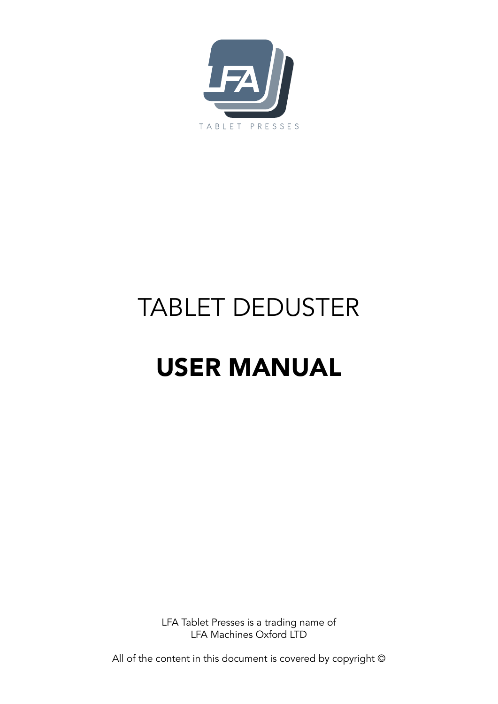

# TABLET DEDUSTER

# USER MANUAL

LFA Tablet Presses is a trading name of LFA Machines Oxford LTD

All of the content in this document is covered by copyright ©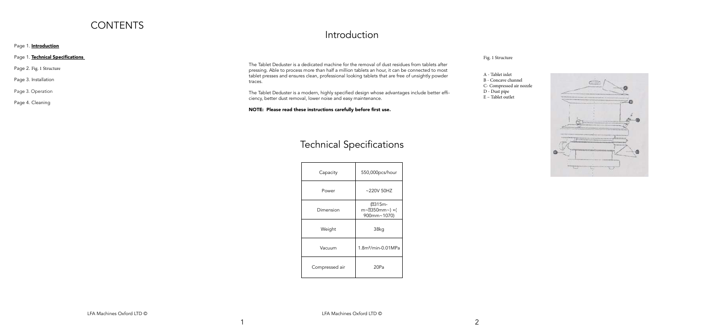### **CONTENTS**

Page 1. **Introduction** 

Page 1. Technical Specifications

Page 2. Fig. 1 Structure

Page 3. Installation

Page 3. Operation

Page 4. Cleaning

### Introduction

The Tablet Deduster is a dedicated machine for the removal of dust residues from tablets after pressing. Able to process more than half a million tablets an hour, it can be connected to most tablet presses and ensures clean, professional looking tablets that are free of unsightly powder traces.

The Tablet Deduster is a modern, highly specified design whose advantages include better efficiency, better dust removal, lower noise and easy maintenance.

NOTE: Please read these instructions carefully before first use.

 $\overline{\mathbf{1}}$ 

### Fig. 1 Structure

- A Tablet inlet
- B Concave channel
- C- Compressed air nozzle
- D Dust pipe
- E Tablet outlet



| Capacity       |
|----------------|
| Power          |
| Dimension      |
| Weight         |
| Vacuum         |
| Compressed air |



## Technical Specifications